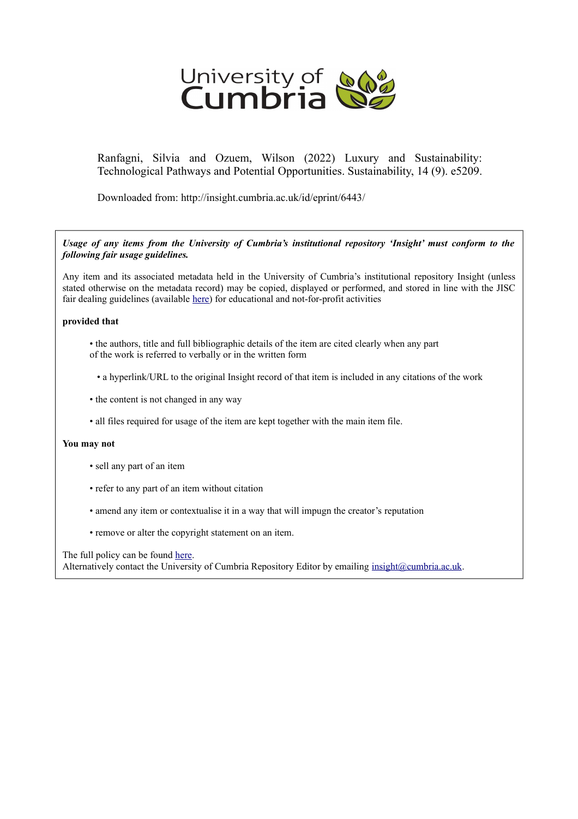

Ranfagni, Silvia and Ozuem, Wilson (2022) Luxury and Sustainability: Technological Pathways and Potential Opportunities. Sustainability, 14 (9). e5209.

Downloaded from: http://insight.cumbria.ac.uk/id/eprint/6443/

*Usage of any items from the University of Cumbria's institutional repository 'Insight' must conform to the following fair usage guidelines.*

Any item and its associated metadata held in the University of Cumbria's institutional repository Insight (unless stated otherwise on the metadata record) may be copied, displayed or performed, and stored in line with the JISC fair dealing guidelines (available [here\)](http://www.ukoln.ac.uk/services/elib/papers/pa/fair/) for educational and not-for-profit activities

# **provided that**

- the authors, title and full bibliographic details of the item are cited clearly when any part of the work is referred to verbally or in the written form
	- a hyperlink/URL to the original Insight record of that item is included in any citations of the work
- the content is not changed in any way
- all files required for usage of the item are kept together with the main item file.

# **You may not**

- sell any part of an item
- refer to any part of an item without citation
- amend any item or contextualise it in a way that will impugn the creator's reputation
- remove or alter the copyright statement on an item.

The full policy can be found [here.](http://insight.cumbria.ac.uk/legal.html#section5)

Alternatively contact the University of Cumbria Repository Editor by emailing [insight@cumbria.ac.uk.](mailto:insight@cumbria.ac.uk)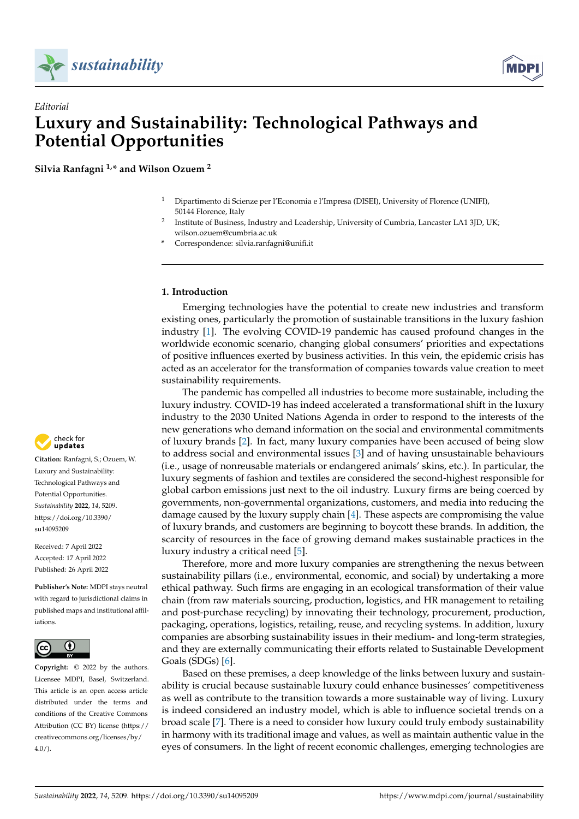



# *Editorial* **Luxury and Sustainability: Technological Pathways and Potential Opportunities**

**Silvia Ranfagni 1,\* and Wilson Ozuem <sup>2</sup>**

- <sup>1</sup> Dipartimento di Scienze per l'Economia e l'Impresa (DISEI), University of Florence (UNIFI), 50144 Florence, Italy
- 2 Institute of Business, Industry and Leadership, University of Cumbria, Lancaster LA1 3JD, UK; wilson.ozuem@cumbria.ac.uk
- **\*** Correspondence: silvia.ranfagni@unifi.it

# **1. Introduction**

Emerging technologies have the potential to create new industries and transform existing ones, particularly the promotion of sustainable transitions in the luxury fashion industry [\[1\]](#page-9-0). The evolving COVID-19 pandemic has caused profound changes in the worldwide economic scenario, changing global consumers' priorities and expectations of positive influences exerted by business activities. In this vein, the epidemic crisis has acted as an accelerator for the transformation of companies towards value creation to meet sustainability requirements.

The pandemic has compelled all industries to become more sustainable, including the luxury industry. COVID-19 has indeed accelerated a transformational shift in the luxury industry to the 2030 United Nations Agenda in order to respond to the interests of the new generations who demand information on the social and environmental commitments of luxury brands [\[2\]](#page-9-1). In fact, many luxury companies have been accused of being slow to address social and environmental issues [\[3\]](#page-9-2) and of having unsustainable behaviours (i.e., usage of nonreusable materials or endangered animals' skins, etc.). In particular, the luxury segments of fashion and textiles are considered the second-highest responsible for global carbon emissions just next to the oil industry. Luxury firms are being coerced by governments, non-governmental organizations, customers, and media into reducing the damage caused by the luxury supply chain [\[4\]](#page-9-3). These aspects are compromising the value of luxury brands, and customers are beginning to boycott these brands. In addition, the scarcity of resources in the face of growing demand makes sustainable practices in the luxury industry a critical need [\[5\]](#page-9-4).

Therefore, more and more luxury companies are strengthening the nexus between sustainability pillars (i.e., environmental, economic, and social) by undertaking a more ethical pathway. Such firms are engaging in an ecological transformation of their value chain (from raw materials sourcing, production, logistics, and HR management to retailing and post-purchase recycling) by innovating their technology, procurement, production, packaging, operations, logistics, retailing, reuse, and recycling systems. In addition, luxury companies are absorbing sustainability issues in their medium- and long-term strategies, and they are externally communicating their efforts related to Sustainable Development Goals (SDGs) [\[6\]](#page-9-5).

Based on these premises, a deep knowledge of the links between luxury and sustainability is crucial because sustainable luxury could enhance businesses' competitiveness as well as contribute to the transition towards a more sustainable way of living. Luxury is indeed considered an industry model, which is able to influence societal trends on a broad scale [\[7\]](#page-9-6). There is a need to consider how luxury could truly embody sustainability in harmony with its traditional image and values, as well as maintain authentic value in the eyes of consumers. In the light of recent economic challenges, emerging technologies are



**Citation:** Ranfagni, S.; Ozuem, W. Luxury and Sustainability: Technological Pathways and Potential Opportunities. *Sustainability* **2022**, *14*, 5209. [https://doi.org/10.3390/](https://doi.org/10.3390/su14095209) [su14095209](https://doi.org/10.3390/su14095209)

Received: 7 April 2022 Accepted: 17 April 2022 Published: 26 April 2022

**Publisher's Note:** MDPI stays neutral with regard to jurisdictional claims in published maps and institutional affiliations.



**Copyright:** © 2022 by the authors. Licensee MDPI, Basel, Switzerland. This article is an open access article distributed under the terms and conditions of the Creative Commons Attribution (CC BY) license [\(https://](https://creativecommons.org/licenses/by/4.0/) [creativecommons.org/licenses/by/](https://creativecommons.org/licenses/by/4.0/)  $4.0/$ ).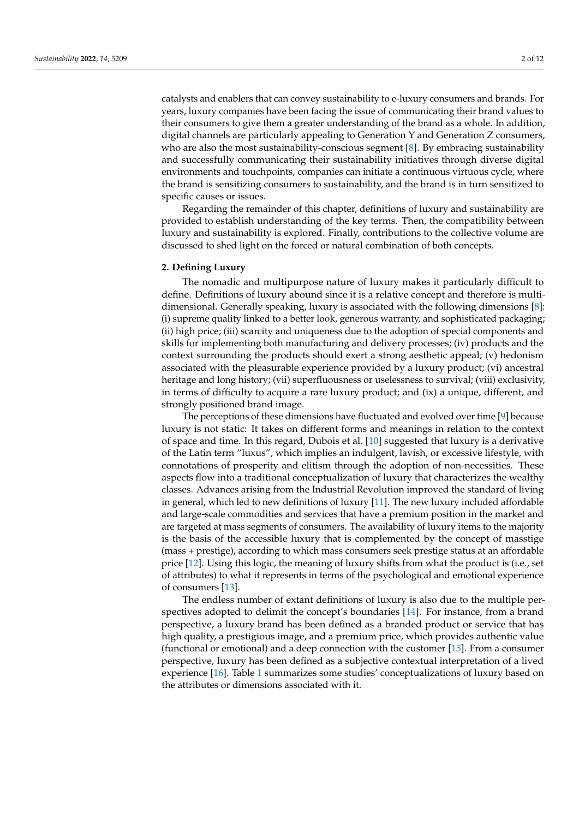catalysts and enablers that can convey sustainability to e-luxury consumers and brands. For years, luxury companies have been facing the issue of communicating their brand values to their consumers to give them a greater understanding of the brand as a whole. In addition, digital channels are particularly appealing to Generation Y and Generation Z consumers, who are also the most sustainability-conscious segment [\[8\]](#page-9-7). By embracing sustainability and successfully communicating their sustainability initiatives through diverse digital environments and touchpoints, companies can initiate a continuous virtuous cycle, where the brand is sensitizing consumers to sustainability, and the brand is in turn sensitized to specific causes or issues.

Regarding the remainder of this chapter, definitions of luxury and sustainability are provided to establish understanding of the key terms. Then, the compatibility between luxury and sustainability is explored. Finally, contributions to the collective volume are discussed to shed light on the forced or natural combination of both concepts.

#### **2. Defining Luxury**

The nomadic and multipurpose nature of luxury makes it particularly difficult to define. Definitions of luxury abound since it is a relative concept and therefore is multidimensional. Generally speaking, luxury is associated with the following dimensions [\[8\]](#page-9-7): (i) supreme quality linked to a better look, generous warranty, and sophisticated packaging; (ii) high price; (iii) scarcity and uniqueness due to the adoption of special components and skills for implementing both manufacturing and delivery processes; (iv) products and the context surrounding the products should exert a strong aesthetic appeal; (v) hedonism associated with the pleasurable experience provided by a luxury product; (vi) ancestral heritage and long history; (vii) superfluousness or uselessness to survival; (viii) exclusivity, in terms of difficulty to acquire a rare luxury product; and (ix) a unique, different, and strongly positioned brand image.

The perceptions of these dimensions have fluctuated and evolved over time [\[9\]](#page-9-8) because luxury is not static: It takes on different forms and meanings in relation to the context of space and time. In this regard, Dubois et al. [\[10\]](#page-9-9) suggested that luxury is a derivative of the Latin term "luxus", which implies an indulgent, lavish, or excessive lifestyle, with connotations of prosperity and elitism through the adoption of non-necessities. These aspects flow into a traditional conceptualization of luxury that characterizes the wealthy classes. Advances arising from the Industrial Revolution improved the standard of living in general, which led to new definitions of luxury [\[11\]](#page-10-0). The new luxury included affordable and large-scale commodities and services that have a premium position in the market and are targeted at mass segments of consumers. The availability of luxury items to the majority is the basis of the accessible luxury that is complemented by the concept of masstige (mass + prestige), according to which mass consumers seek prestige status at an affordable price [\[12\]](#page-10-1). Using this logic, the meaning of luxury shifts from what the product is (i.e., set of attributes) to what it represents in terms of the psychological and emotional experience of consumers [\[13\]](#page-10-2).

The endless number of extant definitions of luxury is also due to the multiple perspectives adopted to delimit the concept's boundaries [\[14\]](#page-10-3). For instance, from a brand perspective, a luxury brand has been defined as a branded product or service that has high quality, a prestigious image, and a premium price, which provides authentic value (functional or emotional) and a deep connection with the customer [\[15\]](#page-10-4). From a consumer perspective, luxury has been defined as a subjective contextual interpretation of a lived experience [\[16\]](#page-10-5). Table [1](#page-3-0) summarizes some studies' conceptualizations of luxury based on the attributes or dimensions associated with it.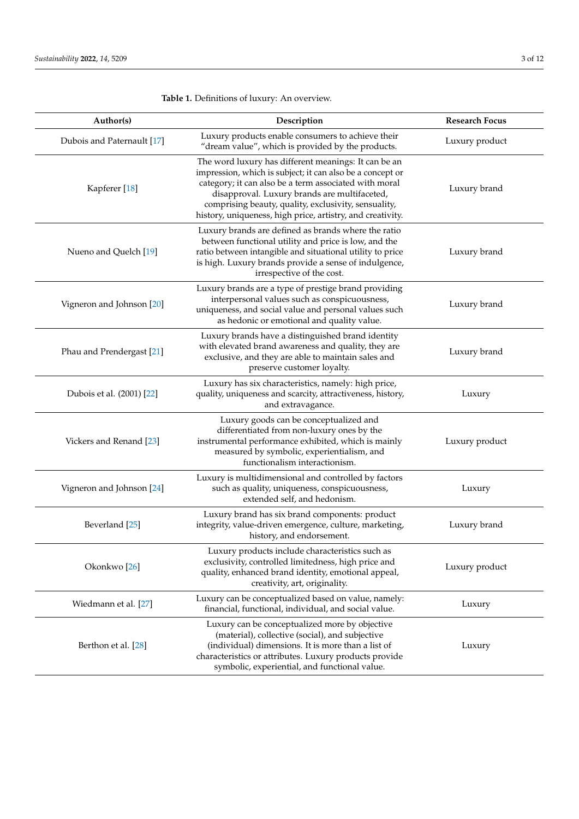| Author(s)                  | Description                                                                                                                                                                                                                                                                                                                                      | <b>Research Focus</b> |
|----------------------------|--------------------------------------------------------------------------------------------------------------------------------------------------------------------------------------------------------------------------------------------------------------------------------------------------------------------------------------------------|-----------------------|
| Dubois and Paternault [17] | Luxury products enable consumers to achieve their<br>"dream value", which is provided by the products.                                                                                                                                                                                                                                           | Luxury product        |
| Kapferer <sup>[18]</sup>   | The word luxury has different meanings: It can be an<br>impression, which is subject; it can also be a concept or<br>category; it can also be a term associated with moral<br>disapproval. Luxury brands are multifaceted,<br>comprising beauty, quality, exclusivity, sensuality,<br>history, uniqueness, high price, artistry, and creativity. | Luxury brand          |
| Nueno and Quelch [19]      | Luxury brands are defined as brands where the ratio<br>between functional utility and price is low, and the<br>ratio between intangible and situational utility to price<br>is high. Luxury brands provide a sense of indulgence,<br>irrespective of the cost.                                                                                   | Luxury brand          |
| Vigneron and Johnson [20]  | Luxury brands are a type of prestige brand providing<br>interpersonal values such as conspicuousness,<br>uniqueness, and social value and personal values such<br>as hedonic or emotional and quality value.                                                                                                                                     | Luxury brand          |
| Phau and Prendergast [21]  | Luxury brands have a distinguished brand identity<br>with elevated brand awareness and quality, they are<br>exclusive, and they are able to maintain sales and<br>preserve customer loyalty.                                                                                                                                                     | Luxury brand          |
| Dubois et al. (2001) [22]  | Luxury has six characteristics, namely: high price,<br>quality, uniqueness and scarcity, attractiveness, history,<br>and extravagance.                                                                                                                                                                                                           | Luxury                |
| Vickers and Renand [23]    | Luxury goods can be conceptualized and<br>differentiated from non-luxury ones by the<br>instrumental performance exhibited, which is mainly<br>measured by symbolic, experientialism, and<br>functionalism interactionism.                                                                                                                       | Luxury product        |
| Vigneron and Johnson [24]  | Luxury is multidimensional and controlled by factors<br>such as quality, uniqueness, conspicuousness,<br>extended self, and hedonism.                                                                                                                                                                                                            | Luxury                |
| Beverland [25]             | Luxury brand has six brand components: product<br>integrity, value-driven emergence, culture, marketing,<br>history, and endorsement.                                                                                                                                                                                                            | Luxury brand          |
| Okonkwo <sup>[26]</sup>    | Luxury products include characteristics such as<br>exclusivity, controlled limitedness, high price and<br>quality, enhanced brand identity, emotional appeal,<br>creativity, art, originality.                                                                                                                                                   | Luxury product        |
| Wiedmann et al. [27]       | Luxury can be conceptualized based on value, namely:<br>financial, functional, individual, and social value.                                                                                                                                                                                                                                     | Luxury                |
| Berthon et al. [28]        | Luxury can be conceptualized more by objective<br>(material), collective (social), and subjective<br>(individual) dimensions. It is more than a list of<br>characteristics or attributes. Luxury products provide<br>symbolic, experiential, and functional value.                                                                               | Luxury                |

<span id="page-3-0"></span>**Table 1.** Definitions of luxury: An overview.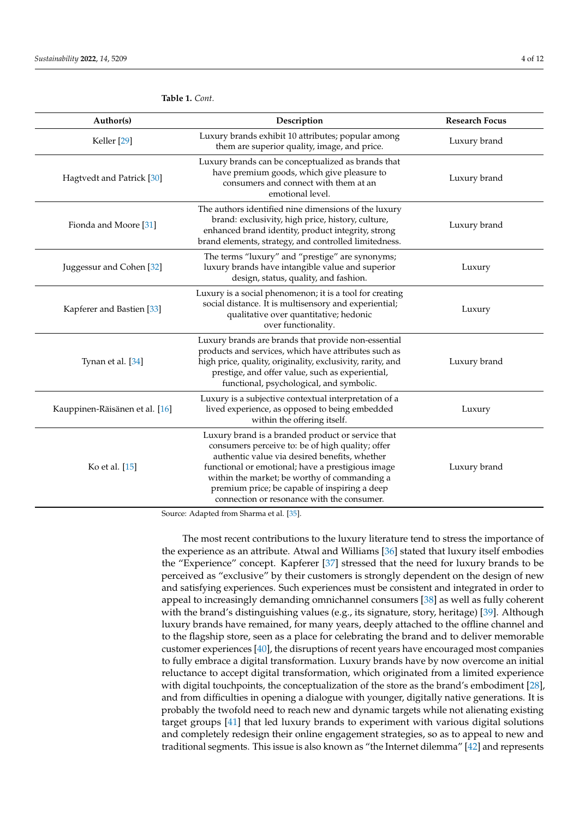| Author(s)                      | Description                                                                                                                                                                                                                                                                                                                                                | <b>Research Focus</b> |
|--------------------------------|------------------------------------------------------------------------------------------------------------------------------------------------------------------------------------------------------------------------------------------------------------------------------------------------------------------------------------------------------------|-----------------------|
| Keller <sup>[29]</sup>         | Luxury brands exhibit 10 attributes; popular among<br>them are superior quality, image, and price.                                                                                                                                                                                                                                                         | Luxury brand          |
| Hagtvedt and Patrick [30]      | Luxury brands can be conceptualized as brands that<br>have premium goods, which give pleasure to<br>consumers and connect with them at an<br>emotional level.                                                                                                                                                                                              | Luxury brand          |
| Fionda and Moore [31]          | The authors identified nine dimensions of the luxury<br>brand: exclusivity, high price, history, culture,<br>enhanced brand identity, product integrity, strong<br>brand elements, strategy, and controlled limitedness.                                                                                                                                   | Luxury brand          |
| Juggessur and Cohen [32]       | The terms "luxury" and "prestige" are synonyms;<br>luxury brands have intangible value and superior<br>design, status, quality, and fashion.                                                                                                                                                                                                               | Luxury                |
| Kapferer and Bastien [33]      | Luxury is a social phenomenon; it is a tool for creating<br>social distance. It is multisensory and experiential;<br>qualitative over quantitative; hedonic<br>over functionality.                                                                                                                                                                         | Luxury                |
| Tynan et al. [34]              | Luxury brands are brands that provide non-essential<br>products and services, which have attributes such as<br>high price, quality, originality, exclusivity, rarity, and<br>prestige, and offer value, such as experiential,<br>functional, psychological, and symbolic.                                                                                  | Luxury brand          |
| Kauppinen-Räisänen et al. [16] | Luxury is a subjective contextual interpretation of a<br>lived experience, as opposed to being embedded<br>within the offering itself.                                                                                                                                                                                                                     | Luxury                |
| Ko et al. [15]                 | Luxury brand is a branded product or service that<br>consumers perceive to: be of high quality; offer<br>authentic value via desired benefits, whether<br>functional or emotional; have a prestigious image<br>within the market; be worthy of commanding a<br>premium price; be capable of inspiring a deep<br>connection or resonance with the consumer. | Luxury brand          |

**Table 1.** *Cont.*

Source: Adapted from Sharma et al. [\[35\]](#page-10-24).

The most recent contributions to the luxury literature tend to stress the importance of the experience as an attribute. Atwal and Williams [\[36\]](#page-10-25) stated that luxury itself embodies the "Experience" concept. Kapferer [\[37\]](#page-10-26) stressed that the need for luxury brands to be perceived as "exclusive" by their customers is strongly dependent on the design of new and satisfying experiences. Such experiences must be consistent and integrated in order to appeal to increasingly demanding omnichannel consumers [\[38\]](#page-10-27) as well as fully coherent with the brand's distinguishing values (e.g., its signature, story, heritage) [\[39\]](#page-10-28). Although luxury brands have remained, for many years, deeply attached to the offline channel and to the flagship store, seen as a place for celebrating the brand and to deliver memorable customer experiences [\[40\]](#page-10-29), the disruptions of recent years have encouraged most companies to fully embrace a digital transformation. Luxury brands have by now overcome an initial reluctance to accept digital transformation, which originated from a limited experience with digital touchpoints, the conceptualization of the store as the brand's embodiment [\[28\]](#page-10-17), and from difficulties in opening a dialogue with younger, digitally native generations. It is probably the twofold need to reach new and dynamic targets while not alienating existing target groups [\[41\]](#page-10-30) that led luxury brands to experiment with various digital solutions and completely redesign their online engagement strategies, so as to appeal to new and traditional segments. This issue is also known as "the Internet dilemma" [\[42\]](#page-10-31) and represents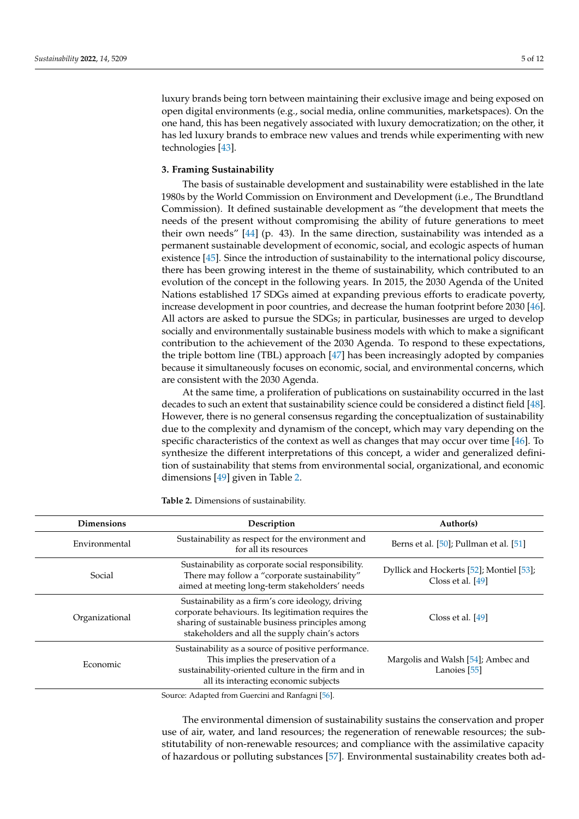luxury brands being torn between maintaining their exclusive image and being exposed on open digital environments (e.g., social media, online communities, marketspaces). On the one hand, this has been negatively associated with luxury democratization; on the other, it has led luxury brands to embrace new values and trends while experimenting with new technologies [\[43\]](#page-10-32).

## **3. Framing Sustainability**

The basis of sustainable development and sustainability were established in the late 1980s by the World Commission on Environment and Development (i.e., The Brundtland Commission). It defined sustainable development as "the development that meets the needs of the present without compromising the ability of future generations to meet their own needs" [\[44\]](#page-10-33) (p. 43). In the same direction, sustainability was intended as a permanent sustainable development of economic, social, and ecologic aspects of human existence [\[45\]](#page-10-34). Since the introduction of sustainability to the international policy discourse, there has been growing interest in the theme of sustainability, which contributed to an evolution of the concept in the following years. In 2015, the 2030 Agenda of the United Nations established 17 SDGs aimed at expanding previous efforts to eradicate poverty, increase development in poor countries, and decrease the human footprint before 2030 [\[46\]](#page-10-35). All actors are asked to pursue the SDGs; in particular, businesses are urged to develop socially and environmentally sustainable business models with which to make a significant contribution to the achievement of the 2030 Agenda. To respond to these expectations, the triple bottom line (TBL) approach [\[47\]](#page-11-0) has been increasingly adopted by companies because it simultaneously focuses on economic, social, and environmental concerns, which are consistent with the 2030 Agenda.

At the same time, a proliferation of publications on sustainability occurred in the last decades to such an extent that sustainability science could be considered a distinct field [\[48\]](#page-11-1). However, there is no general consensus regarding the conceptualization of sustainability due to the complexity and dynamism of the concept, which may vary depending on the specific characteristics of the context as well as changes that may occur over time [\[46\]](#page-10-35). To synthesize the different interpretations of this concept, a wider and generalized definition of sustainability that stems from environmental social, organizational, and economic dimensions [\[49\]](#page-11-2) given in Table [2.](#page-5-0)

| <b>Dimensions</b> | Description                                                                                                                                                                                                    | Author(s)                                                     |
|-------------------|----------------------------------------------------------------------------------------------------------------------------------------------------------------------------------------------------------------|---------------------------------------------------------------|
| Environmental     | Sustainability as respect for the environment and<br>for all its resources                                                                                                                                     | Berns et al. [50]; Pullman et al. [51]                        |
| Social            | Sustainability as corporate social responsibility.<br>There may follow a "corporate sustainability"<br>aimed at meeting long-term stakeholders' needs                                                          | Dyllick and Hockerts [52]; Montiel [53];<br>Closs et al. [49] |
| Organizational    | Sustainability as a firm's core ideology, driving<br>corporate behaviours. Its legitimation requires the<br>sharing of sustainable business principles among<br>stakeholders and all the supply chain's actors | Closs et al. $[49]$                                           |
| Economic          | Sustainability as a source of positive performance.<br>This implies the preservation of a<br>sustainability-oriented culture in the firm and in<br>all its interacting economic subjects                       | Margolis and Walsh [54]; Ambec and<br>Lanoies [55]            |
|                   | Source: Adapted from Guercini and Ranfagni [56].                                                                                                                                                               |                                                               |

<span id="page-5-0"></span>**Table 2.** Dimensions of sustainability.

Source: Adapted from Guercini and Ranfagni [\[56\]](#page-11-9).

The environmental dimension of sustainability sustains the conservation and proper use of air, water, and land resources; the regeneration of renewable resources; the substitutability of non-renewable resources; and compliance with the assimilative capacity of hazardous or polluting substances [\[57\]](#page-11-10). Environmental sustainability creates both ad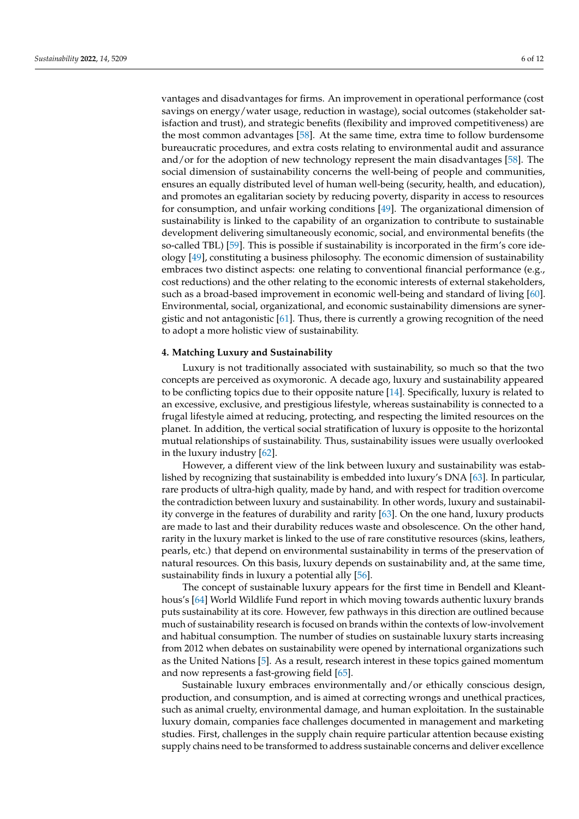vantages and disadvantages for firms. An improvement in operational performance (cost savings on energy/water usage, reduction in wastage), social outcomes (stakeholder satisfaction and trust), and strategic benefits (flexibility and improved competitiveness) are the most common advantages [\[58\]](#page-11-11). At the same time, extra time to follow burdensome bureaucratic procedures, and extra costs relating to environmental audit and assurance and/or for the adoption of new technology represent the main disadvantages [\[58\]](#page-11-11). The social dimension of sustainability concerns the well-being of people and communities, ensures an equally distributed level of human well-being (security, health, and education), and promotes an egalitarian society by reducing poverty, disparity in access to resources for consumption, and unfair working conditions [\[49\]](#page-11-2). The organizational dimension of sustainability is linked to the capability of an organization to contribute to sustainable development delivering simultaneously economic, social, and environmental benefits (the so-called TBL) [\[59\]](#page-11-12). This is possible if sustainability is incorporated in the firm's core ideology [\[49\]](#page-11-2), constituting a business philosophy. The economic dimension of sustainability embraces two distinct aspects: one relating to conventional financial performance (e.g., cost reductions) and the other relating to the economic interests of external stakeholders, such as a broad-based improvement in economic well-being and standard of living [\[60\]](#page-11-13). Environmental, social, organizational, and economic sustainability dimensions are synergistic and not antagonistic [\[61\]](#page-11-14). Thus, there is currently a growing recognition of the need to adopt a more holistic view of sustainability.

#### **4. Matching Luxury and Sustainability**

Luxury is not traditionally associated with sustainability, so much so that the two concepts are perceived as oxymoronic. A decade ago, luxury and sustainability appeared to be conflicting topics due to their opposite nature [\[14\]](#page-10-3). Specifically, luxury is related to an excessive, exclusive, and prestigious lifestyle, whereas sustainability is connected to a frugal lifestyle aimed at reducing, protecting, and respecting the limited resources on the planet. In addition, the vertical social stratification of luxury is opposite to the horizontal mutual relationships of sustainability. Thus, sustainability issues were usually overlooked in the luxury industry [\[62\]](#page-11-15).

However, a different view of the link between luxury and sustainability was established by recognizing that sustainability is embedded into luxury's DNA [\[63\]](#page-11-16). In particular, rare products of ultra-high quality, made by hand, and with respect for tradition overcome the contradiction between luxury and sustainability. In other words, luxury and sustainability converge in the features of durability and rarity [\[63\]](#page-11-16). On the one hand, luxury products are made to last and their durability reduces waste and obsolescence. On the other hand, rarity in the luxury market is linked to the use of rare constitutive resources (skins, leathers, pearls, etc.) that depend on environmental sustainability in terms of the preservation of natural resources. On this basis, luxury depends on sustainability and, at the same time, sustainability finds in luxury a potential ally [\[56\]](#page-11-9).

The concept of sustainable luxury appears for the first time in Bendell and Kleanthous's [\[64\]](#page-11-17) World Wildlife Fund report in which moving towards authentic luxury brands puts sustainability at its core. However, few pathways in this direction are outlined because much of sustainability research is focused on brands within the contexts of low-involvement and habitual consumption. The number of studies on sustainable luxury starts increasing from 2012 when debates on sustainability were opened by international organizations such as the United Nations [\[5\]](#page-9-4). As a result, research interest in these topics gained momentum and now represents a fast-growing field [\[65\]](#page-11-18).

Sustainable luxury embraces environmentally and/or ethically conscious design, production, and consumption, and is aimed at correcting wrongs and unethical practices, such as animal cruelty, environmental damage, and human exploitation. In the sustainable luxury domain, companies face challenges documented in management and marketing studies. First, challenges in the supply chain require particular attention because existing supply chains need to be transformed to address sustainable concerns and deliver excellence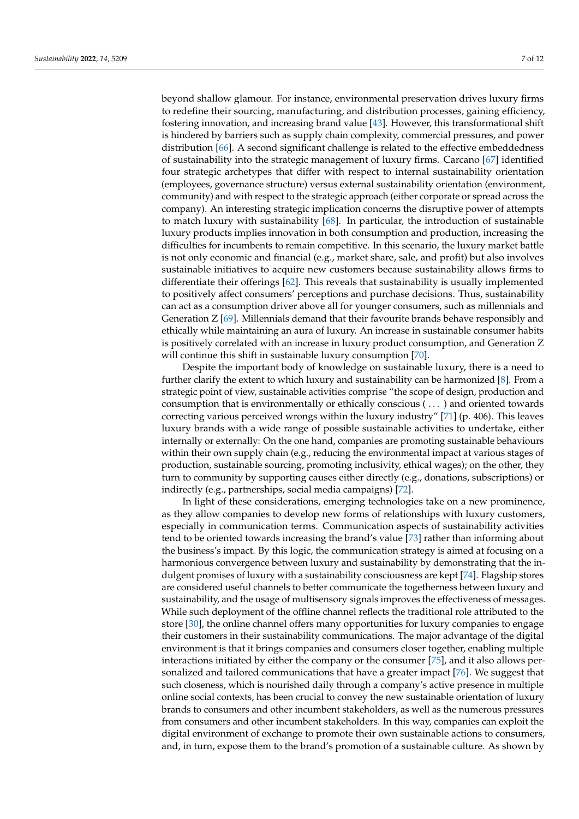beyond shallow glamour. For instance, environmental preservation drives luxury firms to redefine their sourcing, manufacturing, and distribution processes, gaining efficiency, fostering innovation, and increasing brand value [\[43\]](#page-10-32). However, this transformational shift is hindered by barriers such as supply chain complexity, commercial pressures, and power distribution [\[66\]](#page-11-19). A second significant challenge is related to the effective embeddedness of sustainability into the strategic management of luxury firms. Carcano [\[67\]](#page-11-20) identified four strategic archetypes that differ with respect to internal sustainability orientation (employees, governance structure) versus external sustainability orientation (environment, community) and with respect to the strategic approach (either corporate or spread across the company). An interesting strategic implication concerns the disruptive power of attempts to match luxury with sustainability [\[68\]](#page-11-21). In particular, the introduction of sustainable luxury products implies innovation in both consumption and production, increasing the difficulties for incumbents to remain competitive. In this scenario, the luxury market battle is not only economic and financial (e.g., market share, sale, and profit) but also involves sustainable initiatives to acquire new customers because sustainability allows firms to differentiate their offerings [\[62\]](#page-11-15). This reveals that sustainability is usually implemented to positively affect consumers' perceptions and purchase decisions. Thus, sustainability can act as a consumption driver above all for younger consumers, such as millennials and Generation Z [\[69\]](#page-11-22). Millennials demand that their favourite brands behave responsibly and ethically while maintaining an aura of luxury. An increase in sustainable consumer habits is positively correlated with an increase in luxury product consumption, and Generation Z will continue this shift in sustainable luxury consumption [\[70\]](#page-11-23).

Despite the important body of knowledge on sustainable luxury, there is a need to further clarify the extent to which luxury and sustainability can be harmonized [\[8\]](#page-9-7). From a strategic point of view, sustainable activities comprise "the scope of design, production and consumption that is environmentally or ethically conscious ( . . . ) and oriented towards correcting various perceived wrongs within the luxury industry" [\[71\]](#page-11-24) (p. 406). This leaves luxury brands with a wide range of possible sustainable activities to undertake, either internally or externally: On the one hand, companies are promoting sustainable behaviours within their own supply chain (e.g., reducing the environmental impact at various stages of production, sustainable sourcing, promoting inclusivity, ethical wages); on the other, they turn to community by supporting causes either directly (e.g., donations, subscriptions) or indirectly (e.g., partnerships, social media campaigns) [\[72\]](#page-11-25).

In light of these considerations, emerging technologies take on a new prominence, as they allow companies to develop new forms of relationships with luxury customers, especially in communication terms. Communication aspects of sustainability activities tend to be oriented towards increasing the brand's value [\[73\]](#page-11-26) rather than informing about the business's impact. By this logic, the communication strategy is aimed at focusing on a harmonious convergence between luxury and sustainability by demonstrating that the indulgent promises of luxury with a sustainability consciousness are kept [\[74\]](#page-11-27). Flagship stores are considered useful channels to better communicate the togetherness between luxury and sustainability, and the usage of multisensory signals improves the effectiveness of messages. While such deployment of the offline channel reflects the traditional role attributed to the store [\[30\]](#page-10-19), the online channel offers many opportunities for luxury companies to engage their customers in their sustainability communications. The major advantage of the digital environment is that it brings companies and consumers closer together, enabling multiple interactions initiated by either the company or the consumer [\[75\]](#page-11-28), and it also allows personalized and tailored communications that have a greater impact [\[76\]](#page-11-29). We suggest that such closeness, which is nourished daily through a company's active presence in multiple online social contexts, has been crucial to convey the new sustainable orientation of luxury brands to consumers and other incumbent stakeholders, as well as the numerous pressures from consumers and other incumbent stakeholders. In this way, companies can exploit the digital environment of exchange to promote their own sustainable actions to consumers, and, in turn, expose them to the brand's promotion of a sustainable culture. As shown by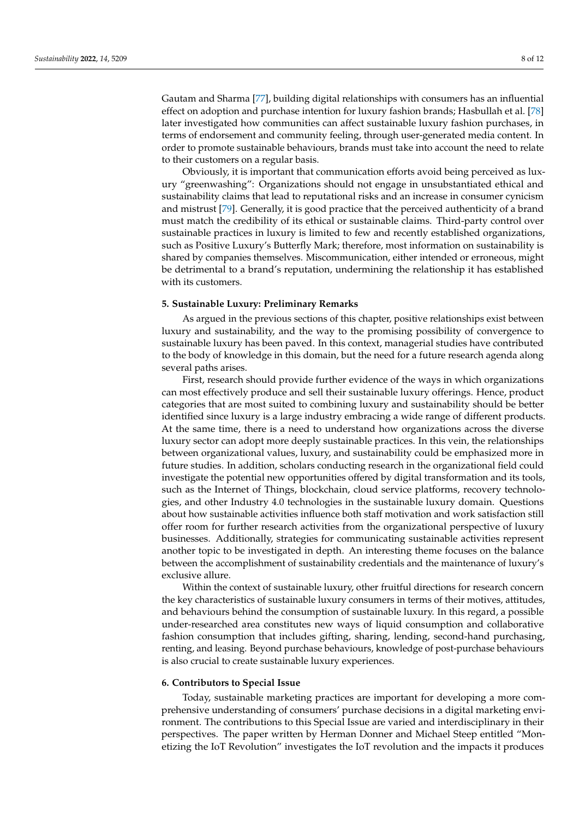Gautam and Sharma [\[77\]](#page-11-30), building digital relationships with consumers has an influential effect on adoption and purchase intention for luxury fashion brands; Hasbullah et al. [\[78\]](#page-12-0) later investigated how communities can affect sustainable luxury fashion purchases, in terms of endorsement and community feeling, through user-generated media content. In order to promote sustainable behaviours, brands must take into account the need to relate to their customers on a regular basis.

Obviously, it is important that communication efforts avoid being perceived as luxury "greenwashing": Organizations should not engage in unsubstantiated ethical and sustainability claims that lead to reputational risks and an increase in consumer cynicism and mistrust [\[79\]](#page-12-1). Generally, it is good practice that the perceived authenticity of a brand must match the credibility of its ethical or sustainable claims. Third-party control over sustainable practices in luxury is limited to few and recently established organizations, such as Positive Luxury's Butterfly Mark; therefore, most information on sustainability is shared by companies themselves. Miscommunication, either intended or erroneous, might be detrimental to a brand's reputation, undermining the relationship it has established with its customers.

#### **5. Sustainable Luxury: Preliminary Remarks**

As argued in the previous sections of this chapter, positive relationships exist between luxury and sustainability, and the way to the promising possibility of convergence to sustainable luxury has been paved. In this context, managerial studies have contributed to the body of knowledge in this domain, but the need for a future research agenda along several paths arises.

First, research should provide further evidence of the ways in which organizations can most effectively produce and sell their sustainable luxury offerings. Hence, product categories that are most suited to combining luxury and sustainability should be better identified since luxury is a large industry embracing a wide range of different products. At the same time, there is a need to understand how organizations across the diverse luxury sector can adopt more deeply sustainable practices. In this vein, the relationships between organizational values, luxury, and sustainability could be emphasized more in future studies. In addition, scholars conducting research in the organizational field could investigate the potential new opportunities offered by digital transformation and its tools, such as the Internet of Things, blockchain, cloud service platforms, recovery technologies, and other Industry 4.0 technologies in the sustainable luxury domain. Questions about how sustainable activities influence both staff motivation and work satisfaction still offer room for further research activities from the organizational perspective of luxury businesses. Additionally, strategies for communicating sustainable activities represent another topic to be investigated in depth. An interesting theme focuses on the balance between the accomplishment of sustainability credentials and the maintenance of luxury's exclusive allure.

Within the context of sustainable luxury, other fruitful directions for research concern the key characteristics of sustainable luxury consumers in terms of their motives, attitudes, and behaviours behind the consumption of sustainable luxury. In this regard, a possible under-researched area constitutes new ways of liquid consumption and collaborative fashion consumption that includes gifting, sharing, lending, second-hand purchasing, renting, and leasing. Beyond purchase behaviours, knowledge of post-purchase behaviours is also crucial to create sustainable luxury experiences.

### **6. Contributors to Special Issue**

Today, sustainable marketing practices are important for developing a more comprehensive understanding of consumers' purchase decisions in a digital marketing environment. The contributions to this Special Issue are varied and interdisciplinary in their perspectives. The paper written by Herman Donner and Michael Steep entitled "Monetizing the IoT Revolution" investigates the IoT revolution and the impacts it produces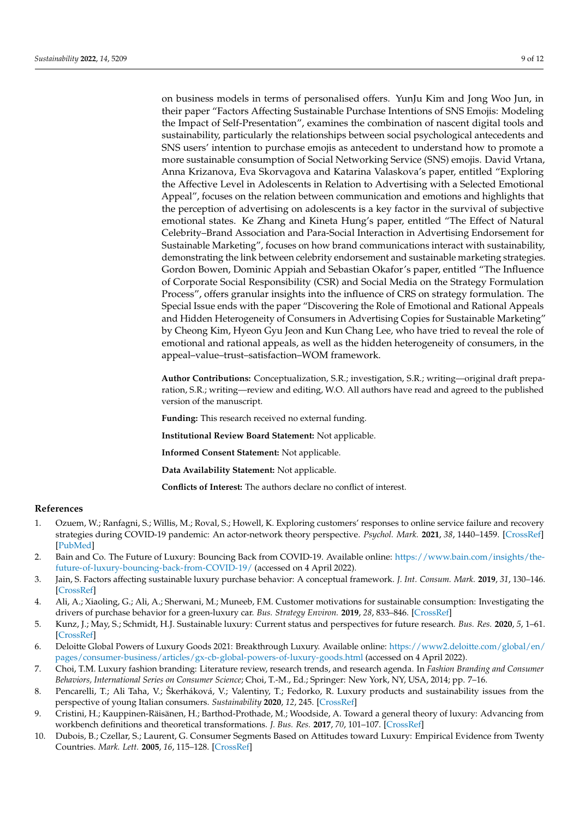on business models in terms of personalised offers. YunJu Kim and Jong Woo Jun, in their paper "Factors Affecting Sustainable Purchase Intentions of SNS Emojis: Modeling the Impact of Self-Presentation", examines the combination of nascent digital tools and sustainability, particularly the relationships between social psychological antecedents and SNS users' intention to purchase emojis as antecedent to understand how to promote a more sustainable consumption of Social Networking Service (SNS) emojis. David Vrtana, Anna Krizanova, Eva Skorvagova and Katarina Valaskova's paper, entitled "Exploring the Affective Level in Adolescents in Relation to Advertising with a Selected Emotional Appeal", focuses on the relation between communication and emotions and highlights that the perception of advertising on adolescents is a key factor in the survival of subjective emotional states. Ke Zhang and Kineta Hung's paper, entitled "The Effect of Natural Celebrity–Brand Association and Para-Social Interaction in Advertising Endorsement for Sustainable Marketing", focuses on how brand communications interact with sustainability, demonstrating the link between celebrity endorsement and sustainable marketing strategies. Gordon Bowen, Dominic Appiah and Sebastian Okafor's paper, entitled "The Influence of Corporate Social Responsibility (CSR) and Social Media on the Strategy Formulation Process", offers granular insights into the influence of CRS on strategy formulation. The Special Issue ends with the paper "Discovering the Role of Emotional and Rational Appeals and Hidden Heterogeneity of Consumers in Advertising Copies for Sustainable Marketing" by Cheong Kim, Hyeon Gyu Jeon and Kun Chang Lee, who have tried to reveal the role of emotional and rational appeals, as well as the hidden heterogeneity of consumers, in the appeal–value–trust–satisfaction–WOM framework.

**Author Contributions:** Conceptualization, S.R.; investigation, S.R.; writing—original draft preparation, S.R.; writing—review and editing, W.O. All authors have read and agreed to the published version of the manuscript.

**Funding:** This research received no external funding.

**Institutional Review Board Statement:** Not applicable.

**Informed Consent Statement:** Not applicable.

**Data Availability Statement:** Not applicable.

**Conflicts of Interest:** The authors declare no conflict of interest.

## **References**

- <span id="page-9-0"></span>1. Ozuem, W.; Ranfagni, S.; Willis, M.; Roval, S.; Howell, K. Exploring customers' responses to online service failure and recovery strategies during COVID-19 pandemic: An actor-network theory perspective. *Psychol. Mark.* **2021**, *38*, 1440–1459. [\[CrossRef\]](http://doi.org/10.1002/mar.21527) [\[PubMed\]](http://www.ncbi.nlm.nih.gov/pubmed/34539054)
- <span id="page-9-1"></span>2. Bain and Co. The Future of Luxury: Bouncing Back from COVID-19. Available online: [https://www.bain.com/insights/the](https://www.bain.com/insights/the-future-of-luxury-bouncing-back-from-COVID-19/)[future-of-luxury-bouncing-back-from-COVID-19/](https://www.bain.com/insights/the-future-of-luxury-bouncing-back-from-COVID-19/) (accessed on 4 April 2022).
- <span id="page-9-2"></span>3. Jain, S. Factors affecting sustainable luxury purchase behavior: A conceptual framework. *J. Int. Consum. Mark.* **2019**, *31*, 130–146. [\[CrossRef\]](http://doi.org/10.1080/08961530.2018.1498758)
- <span id="page-9-3"></span>4. Ali, A.; Xiaoling, G.; Ali, A.; Sherwani, M.; Muneeb, F.M. Customer motivations for sustainable consumption: Investigating the drivers of purchase behavior for a green-luxury car. *Bus. Strategy Environ.* **2019**, *28*, 833–846. [\[CrossRef\]](http://doi.org/10.1002/bse.2284)
- <span id="page-9-4"></span>5. Kunz, J.; May, S.; Schmidt, H.J. Sustainable luxury: Current status and perspectives for future research. *Bus. Res.* **2020**, *5*, 1–61. [\[CrossRef\]](http://doi.org/10.1007/s40685-020-00111-3)
- <span id="page-9-5"></span>6. Deloitte Global Powers of Luxury Goods 2021: Breakthrough Luxury. Available online: [https://www2.deloitte.com/global/en/](https://www2.deloitte.com/global/en/pages/consumer-business/articles/gx-cb-global-powers-of-luxury-goods.html) [pages/consumer-business/articles/gx-cb-global-powers-of-luxury-goods.html](https://www2.deloitte.com/global/en/pages/consumer-business/articles/gx-cb-global-powers-of-luxury-goods.html) (accessed on 4 April 2022).
- <span id="page-9-6"></span>7. Choi, T.M. Luxury fashion branding: Literature review, research trends, and research agenda. In *Fashion Branding and Consumer Behaviors, International Series on Consumer Science*; Choi, T.-M., Ed.; Springer: New York, NY, USA, 2014; pp. 7–16.
- <span id="page-9-7"></span>8. Pencarelli, T.; Ali Taha, V.; Škerháková, V.; Valentiny, T.; Fedorko, R. Luxury products and sustainability issues from the perspective of young Italian consumers. *Sustainability* **2020**, *12*, 245. [\[CrossRef\]](http://doi.org/10.3390/su12010245)
- <span id="page-9-8"></span>9. Cristini, H.; Kauppinen-Räisänen, H.; Barthod-Prothade, M.; Woodside, A. Toward a general theory of luxury: Advancing from workbench definitions and theoretical transformations. *J. Bus. Res.* **2017**, *70*, 101–107. [\[CrossRef\]](http://doi.org/10.1016/j.jbusres.2016.07.001)
- <span id="page-9-9"></span>10. Dubois, B.; Czellar, S.; Laurent, G. Consumer Segments Based on Attitudes toward Luxury: Empirical Evidence from Twenty Countries. *Mark. Lett.* **2005**, *16*, 115–128. [\[CrossRef\]](http://doi.org/10.1007/s11002-005-2172-0)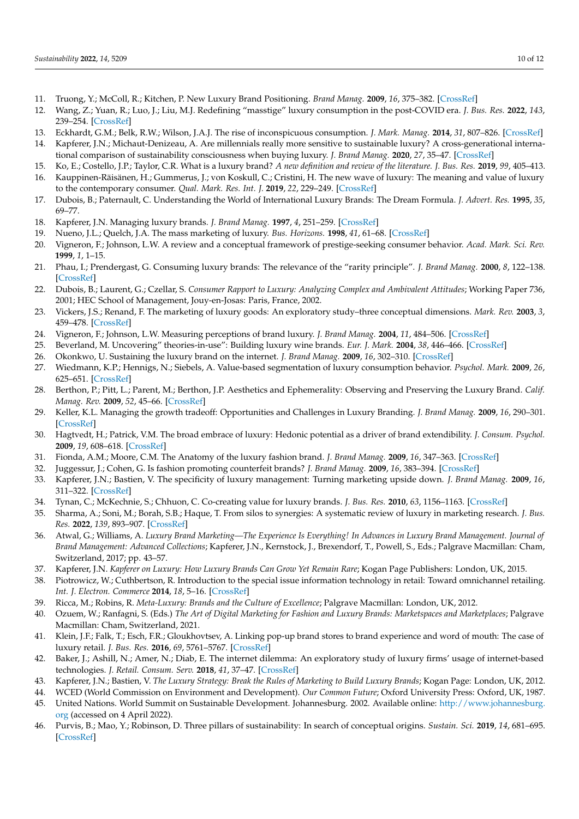- <span id="page-10-0"></span>11. Truong, Y.; McColl, R.; Kitchen, P. New Luxury Brand Positioning. *Brand Manag.* **2009**, *16*, 375–382. [\[CrossRef\]](http://doi.org/10.1057/bm.2009.1)
- <span id="page-10-1"></span>12. Wang, Z.; Yuan, R.; Luo, J.; Liu, M.J. Redefining "masstige" luxury consumption in the post-COVID era. *J. Bus. Res.* **2022**, *143*, 239–254. [\[CrossRef\]](http://doi.org/10.1016/j.jbusres.2022.01.057)
- <span id="page-10-2"></span>13. Eckhardt, G.M.; Belk, R.W.; Wilson, J.A.J. The rise of inconspicuous consumption. *J. Mark. Manag.* **2014**, *31*, 807–826. [\[CrossRef\]](http://doi.org/10.1080/0267257X.2014.989890)
- <span id="page-10-3"></span>14. Kapferer, J.N.; Michaut-Denizeau, A. Are millennials really more sensitive to sustainable luxury? A cross-generational international comparison of sustainability consciousness when buying luxury. *J. Brand Manag.* **2020**, *27*, 35–47. [\[CrossRef\]](http://doi.org/10.1057/s41262-019-00165-7)
- <span id="page-10-5"></span><span id="page-10-4"></span>15. Ko, E.; Costello, J.P.; Taylor, C.R. What is a luxury brand? *A new definition and review of the literature. J. Bus. Res.* **2019**, *99*, 405–413. 16. Kauppinen-Räisänen, H.; Gummerus, J.; von Koskull, C.; Cristini, H. The new wave of luxury: The meaning and value of luxury to the contemporary consumer. *Qual. Mark. Res. Int. J.* **2019**, *22*, 229–249. [\[CrossRef\]](http://doi.org/10.1108/QMR-03-2016-0025)
- <span id="page-10-6"></span>17. Dubois, B.; Paternault, C. Understanding the World of International Luxury Brands: The Dream Formula. *J. Advert. Res.* **1995**, *35*, 69–77.
- <span id="page-10-7"></span>18. Kapferer, J.N. Managing luxury brands. *J. Brand Manag.* **1997**, *4*, 251–259. [\[CrossRef\]](http://doi.org/10.1057/bm.1997.4)
- <span id="page-10-8"></span>19. Nueno, J.L.; Quelch, J.A. The mass marketing of luxury. *Bus. Horizons.* **1998**, *41*, 61–68. [\[CrossRef\]](http://doi.org/10.1016/S0007-6813(98)90023-4)
- <span id="page-10-9"></span>20. Vigneron, F.; Johnson, L.W. A review and a conceptual framework of prestige-seeking consumer behavior. *Acad. Mark. Sci. Rev.* **1999**, *1*, 1–15.
- <span id="page-10-10"></span>21. Phau, I.; Prendergast, G. Consuming luxury brands: The relevance of the "rarity principle". *J. Brand Manag.* **2000**, *8*, 122–138. [\[CrossRef\]](http://doi.org/10.1057/palgrave.bm.2540013)
- <span id="page-10-11"></span>22. Dubois, B.; Laurent, G.; Czellar, S. *Consumer Rapport to Luxury: Analyzing Complex and Ambivalent Attitudes*; Working Paper 736, 2001; HEC School of Management, Jouy-en-Josas: Paris, France, 2002.
- <span id="page-10-12"></span>23. Vickers, J.S.; Renand, F. The marketing of luxury goods: An exploratory study–three conceptual dimensions. *Mark. Rev.* **2003**, *3*, 459–478. [\[CrossRef\]](http://doi.org/10.1362/146934703771910071)
- <span id="page-10-13"></span>24. Vigneron, F.; Johnson, L.W. Measuring perceptions of brand luxury. *J. Brand Manag.* **2004**, *11*, 484–506. [\[CrossRef\]](http://doi.org/10.1057/palgrave.bm.2540194)
- <span id="page-10-14"></span>25. Beverland, M. Uncovering" theories-in-use": Building luxury wine brands. *Eur. J. Mark.* **2004**, *38*, 446–466. [\[CrossRef\]](http://doi.org/10.1108/03090560410518648)
- <span id="page-10-15"></span>26. Okonkwo, U. Sustaining the luxury brand on the internet. *J. Brand Manag.* **2009**, *16*, 302–310. [\[CrossRef\]](http://doi.org/10.1057/bm.2009.2)
- <span id="page-10-16"></span>27. Wiedmann, K.P.; Hennigs, N.; Siebels, A. Value-based segmentation of luxury consumption behavior. *Psychol. Mark.* **2009**, *26*, 625–651. [\[CrossRef\]](http://doi.org/10.1002/mar.20292)
- <span id="page-10-17"></span>28. Berthon, P.; Pitt, L.; Parent, M.; Berthon, J.P. Aesthetics and Ephemerality: Observing and Preserving the Luxury Brand. *Calif. Manag. Rev.* **2009**, *52*, 45–66. [\[CrossRef\]](http://doi.org/10.1525/cmr.2009.52.1.45)
- <span id="page-10-18"></span>29. Keller, K.L. Managing the growth tradeoff: Opportunities and Challenges in Luxury Branding. *J. Brand Manag.* **2009**, *16*, 290–301. [\[CrossRef\]](http://doi.org/10.1057/bm.2008.47)
- <span id="page-10-19"></span>30. Hagtvedt, H.; Patrick, V.M. The broad embrace of luxury: Hedonic potential as a driver of brand extendibility. *J. Consum. Psychol.* **2009**, *19*, 608–618. [\[CrossRef\]](http://doi.org/10.1016/j.jcps.2009.05.007)
- <span id="page-10-20"></span>31. Fionda, A.M.; Moore, C.M. The Anatomy of the luxury fashion brand. *J. Brand Manag.* **2009**, *16*, 347–363. [\[CrossRef\]](http://doi.org/10.1057/bm.2008.45)
- <span id="page-10-21"></span>32. Juggessur, J.; Cohen, G. Is fashion promoting counterfeit brands? *J. Brand Manag.* **2009**, *16*, 383–394. [\[CrossRef\]](http://doi.org/10.1057/bm.2008.46)
- <span id="page-10-22"></span>33. Kapferer, J.N.; Bastien, V. The specificity of luxury management: Turning marketing upside down. *J. Brand Manag.* **2009**, *16*, 311–322. [\[CrossRef\]](http://doi.org/10.1057/bm.2008.51)
- <span id="page-10-23"></span>34. Tynan, C.; McKechnie, S.; Chhuon, C. Co-creating value for luxury brands. *J. Bus. Res.* **2010**, *63*, 1156–1163. [\[CrossRef\]](http://doi.org/10.1016/j.jbusres.2009.10.012)
- <span id="page-10-24"></span>35. Sharma, A.; Soni, M.; Borah, S.B.; Haque, T. From silos to synergies: A systematic review of luxury in marketing research. *J. Bus. Res.* **2022**, *139*, 893–907. [\[CrossRef\]](http://doi.org/10.1016/j.jbusres.2021.09.007)
- <span id="page-10-25"></span>36. Atwal, G.; Williams, A. *Luxury Brand Marketing—The Experience Is Everything! In Advances in Luxury Brand Management. Journal of Brand Management: Advanced Collections*; Kapferer, J.N., Kernstock, J., Brexendorf, T., Powell, S., Eds.; Palgrave Macmillan: Cham, Switzerland, 2017; pp. 43–57.
- <span id="page-10-26"></span>37. Kapferer, J.N. *Kapferer on Luxury: How Luxury Brands Can Grow Yet Remain Rare*; Kogan Page Publishers: London, UK, 2015.
- <span id="page-10-27"></span>38. Piotrowicz, W.; Cuthbertson, R. Introduction to the special issue information technology in retail: Toward omnichannel retailing. *Int. J. Electron. Commerce* **2014**, *18*, 5–16. [\[CrossRef\]](http://doi.org/10.2753/JEC1086-4415180400)
- <span id="page-10-28"></span>39. Ricca, M.; Robins, R. *Meta-Luxury: Brands and the Culture of Excellence*; Palgrave Macmillan: London, UK, 2012.
- <span id="page-10-29"></span>40. Ozuem, W.; Ranfagni, S. (Eds.) *The Art of Digital Marketing for Fashion and Luxury Brands: Marketspaces and Marketplaces*; Palgrave Macmillan: Cham, Switzerland, 2021.
- <span id="page-10-30"></span>41. Klein, J.F.; Falk, T.; Esch, F.R.; Gloukhovtsev, A. Linking pop-up brand stores to brand experience and word of mouth: The case of luxury retail. *J. Bus. Res.* **2016**, *69*, 5761–5767. [\[CrossRef\]](http://doi.org/10.1016/j.jbusres.2016.04.172)
- <span id="page-10-31"></span>42. Baker, J.; Ashill, N.; Amer, N.; Diab, E. The internet dilemma: An exploratory study of luxury firms' usage of internet-based technologies. *J. Retail. Consum. Serv.* **2018**, *41*, 37–47. [\[CrossRef\]](http://doi.org/10.1016/j.jretconser.2017.11.007)
- <span id="page-10-32"></span>43. Kapferer, J.N.; Bastien, V. *The Luxury Strategy: Break the Rules of Marketing to Build Luxury Brands*; Kogan Page: London, UK, 2012.
- <span id="page-10-33"></span>44. WCED (World Commission on Environment and Development). *Our Common Future*; Oxford University Press: Oxford, UK, 1987.
- <span id="page-10-34"></span>45. United Nations. World Summit on Sustainable Development. Johannesburg. 2002. Available online: [http://www.johannesburg.](http://www.johannesburg.org) [org](http://www.johannesburg.org) (accessed on 4 April 2022).
- <span id="page-10-35"></span>46. Purvis, B.; Mao, Y.; Robinson, D. Three pillars of sustainability: In search of conceptual origins. *Sustain. Sci.* **2019**, *14*, 681–695. [\[CrossRef\]](http://doi.org/10.1007/s11625-018-0627-5)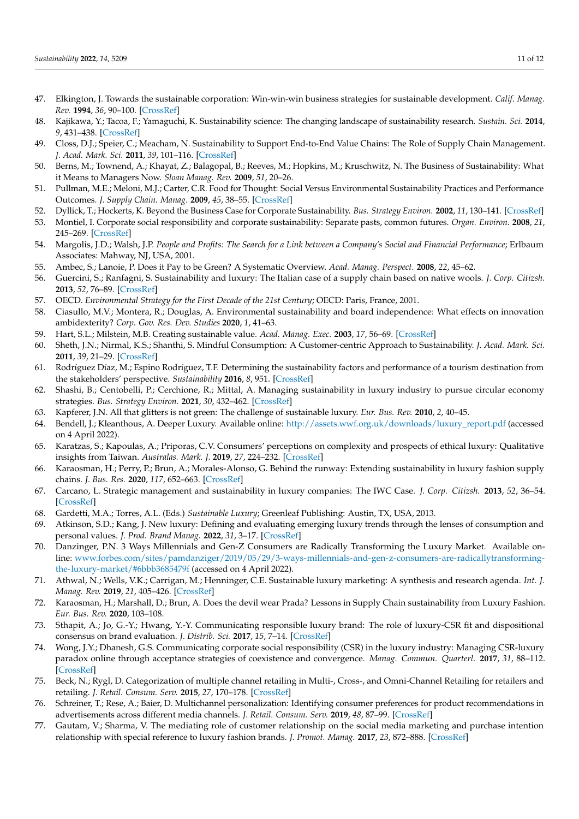- <span id="page-11-0"></span>47. Elkington, J. Towards the sustainable corporation: Win-win-win business strategies for sustainable development. *Calif. Manag. Rev.* **1994**, *36*, 90–100. [\[CrossRef\]](http://doi.org/10.2307/41165746)
- <span id="page-11-1"></span>48. Kajikawa, Y.; Tacoa, F.; Yamaguchi, K. Sustainability science: The changing landscape of sustainability research. *Sustain. Sci.* **2014**, *9*, 431–438. [\[CrossRef\]](http://doi.org/10.1007/s11625-014-0244-x)
- <span id="page-11-2"></span>49. Closs, D.J.; Speier, C.; Meacham, N. Sustainability to Support End-to-End Value Chains: The Role of Supply Chain Management. *J. Acad. Mark. Sci.* **2011**, *39*, 101–116. [\[CrossRef\]](http://doi.org/10.1007/s11747-010-0207-4)
- <span id="page-11-3"></span>50. Berns, M.; Townend, A.; Khayat, Z.; Balagopal, B.; Reeves, M.; Hopkins, M.; Kruschwitz, N. The Business of Sustainability: What it Means to Managers Now. *Sloan Manag. Rev.* **2009**, *51*, 20–26.
- <span id="page-11-4"></span>51. Pullman, M.E.; Meloni, M.J.; Carter, C.R. Food for Thought: Social Versus Environmental Sustainability Practices and Performance Outcomes. *J. Supply Chain. Manag.* **2009**, *45*, 38–55. [\[CrossRef\]](http://doi.org/10.1111/j.1745-493X.2009.03175.x)
- <span id="page-11-5"></span>52. Dyllick, T.; Hockerts, K. Beyond the Business Case for Corporate Sustainability. *Bus. Strategy Environ.* **2002**, *11*, 130–141. [\[CrossRef\]](http://doi.org/10.1002/bse.323)
- <span id="page-11-6"></span>53. Montiel, I. Corporate social responsibility and corporate sustainability: Separate pasts, common futures. *Organ. Environ.* **2008**, *21*, 245–269. [\[CrossRef\]](http://doi.org/10.1177/1086026608321329)
- <span id="page-11-7"></span>54. Margolis, J.D.; Walsh, J.P. *People and Profits: The Search for a Link between a Company's Social and Financial Performance*; Erlbaum Associates: Mahway, NJ, USA, 2001.
- <span id="page-11-8"></span>55. Ambec, S.; Lanoie, P. Does it Pay to be Green? A Systematic Overview. *Acad. Manag. Perspect.* **2008**, *22*, 45–62.
- <span id="page-11-9"></span>56. Guercini, S.; Ranfagni, S. Sustainability and luxury: The Italian case of a supply chain based on native wools. *J. Corp. Citizsh.* **2013**, *52*, 76–89. [\[CrossRef\]](http://doi.org/10.9774/GLEAF.4700.2013.de.00008)
- <span id="page-11-10"></span>57. OECD. *Environmental Strategy for the First Decade of the 21st Century*; OECD: Paris, France, 2001.
- <span id="page-11-11"></span>58. Ciasullo, M.V.; Montera, R.; Douglas, A. Environmental sustainability and board independence: What effects on innovation ambidexterity? *Corp. Gov. Res. Dev. Studies* **2020**, *1*, 41–63.
- <span id="page-11-12"></span>59. Hart, S.L.; Milstein, M.B. Creating sustainable value. *Acad. Manag. Exec.* **2003**, *17*, 56–69. [\[CrossRef\]](http://doi.org/10.5465/ame.2003.10025194)
- <span id="page-11-13"></span>60. Sheth, J.N.; Nirmal, K.S.; Shanthi, S. Mindful Consumption: A Customer-centric Approach to Sustainability. *J. Acad. Mark. Sci.* **2011**, *39*, 21–29. [\[CrossRef\]](http://doi.org/10.1007/s11747-010-0216-3)
- <span id="page-11-14"></span>61. Rodríguez Díaz, M.; Espino Rodríguez, T.F. Determining the sustainability factors and performance of a tourism destination from the stakeholders' perspective. *Sustainability* **2016**, *8*, 951. [\[CrossRef\]](http://doi.org/10.3390/su8090951)
- <span id="page-11-15"></span>62. Shashi, B.; Centobelli, P.; Cerchione, R.; Mittal, A. Managing sustainability in luxury industry to pursue circular economy strategies. *Bus. Strategy Environ.* **2021**, *30*, 432–462. [\[CrossRef\]](http://doi.org/10.1002/bse.2630)
- <span id="page-11-16"></span>63. Kapferer, J.N. All that glitters is not green: The challenge of sustainable luxury. *Eur. Bus. Rev.* **2010**, *2*, 40–45.
- <span id="page-11-17"></span>64. Bendell, J.; Kleanthous, A. Deeper Luxury. Available online: [http://assets.wwf.org.uk/downloads/luxury\\_report.pdf](http://assets.wwf.org.uk/downloads/luxury_report.pdf) (accessed on 4 April 2022).
- <span id="page-11-18"></span>65. Karatzas, S.; Kapoulas, A.; Priporas, C.V. Consumers' perceptions on complexity and prospects of ethical luxury: Qualitative insights from Taiwan. *Australas. Mark. J.* **2019**, *27*, 224–232. [\[CrossRef\]](http://doi.org/10.1016/j.ausmj.2019.08.001)
- <span id="page-11-19"></span>66. Karaosman, H.; Perry, P.; Brun, A.; Morales-Alonso, G. Behind the runway: Extending sustainability in luxury fashion supply chains. *J. Bus. Res.* **2020**, *117*, 652–663. [\[CrossRef\]](http://doi.org/10.1016/j.jbusres.2018.09.017)
- <span id="page-11-20"></span>67. Carcano, L. Strategic management and sustainability in luxury companies: The IWC Case. *J. Corp. Citizsh.* **2013**, *52*, 36–54. [\[CrossRef\]](http://doi.org/10.9774/GLEAF.4700.2013.de.00006)
- <span id="page-11-21"></span>68. Gardetti, M.A.; Torres, A.L. (Eds.) *Sustainable Luxury*; Greenleaf Publishing: Austin, TX, USA, 2013.
- <span id="page-11-22"></span>69. Atkinson, S.D.; Kang, J. New luxury: Defining and evaluating emerging luxury trends through the lenses of consumption and personal values. *J. Prod. Brand Manag.* **2022**, *31*, 3–17. [\[CrossRef\]](http://doi.org/10.1108/JPBM-09-2020-3121)
- <span id="page-11-23"></span>70. Danzinger, P.N. 3 Ways Millennials and Gen-Z Consumers are Radically Transforming the Luxury Market. Available online: [www.forbes.com/sites/pamdanziger/2019/05/29/3-ways-millennials-and-gen-z-consumers-are-radicallytransforming](www.forbes.com/sites/pamdanziger/2019/05/29/3-ways-millennials-and-gen-z-consumers-are-radicallytransforming-the-luxury-market/#6bbb3685479f)[the-luxury-market/#6bbb3685479f](www.forbes.com/sites/pamdanziger/2019/05/29/3-ways-millennials-and-gen-z-consumers-are-radicallytransforming-the-luxury-market/#6bbb3685479f) (accessed on 4 April 2022).
- <span id="page-11-24"></span>71. Athwal, N.; Wells, V.K.; Carrigan, M.; Henninger, C.E. Sustainable luxury marketing: A synthesis and research agenda. *Int. J. Manag. Rev.* **2019**, *21*, 405–426. [\[CrossRef\]](http://doi.org/10.1111/ijmr.12195)
- <span id="page-11-25"></span>72. Karaosman, H.; Marshall, D.; Brun, A. Does the devil wear Prada? Lessons in Supply Chain sustainability from Luxury Fashion. *Eur. Bus. Rev.* **2020**, 103–108.
- <span id="page-11-26"></span>73. Sthapit, A.; Jo, G.-Y.; Hwang, Y.-Y. Communicating responsible luxury brand: The role of luxury-CSR fit and dispositional consensus on brand evaluation. *J. Distrib. Sci.* **2017**, *15*, 7–14. [\[CrossRef\]](http://doi.org/10.15722/jds.15.2.201702.7)
- <span id="page-11-27"></span>74. Wong, J.Y.; Dhanesh, G.S. Communicating corporate social responsibility (CSR) in the luxury industry: Managing CSR-luxury paradox online through acceptance strategies of coexistence and convergence. *Manag. Commun. Quarterl.* **2017**, *31*, 88–112. [\[CrossRef\]](http://doi.org/10.1177/0893318916669602)
- <span id="page-11-28"></span>75. Beck, N.; Rygl, D. Categorization of multiple channel retailing in Multi-, Cross-, and Omni-Channel Retailing for retailers and retailing. *J. Retail. Consum. Serv.* **2015**, *27*, 170–178. [\[CrossRef\]](http://doi.org/10.1016/j.jretconser.2015.08.001)
- <span id="page-11-29"></span>76. Schreiner, T.; Rese, A.; Baier, D. Multichannel personalization: Identifying consumer preferences for product recommendations in advertisements across different media channels. *J. Retail. Consum. Serv.* **2019**, *48*, 87–99. [\[CrossRef\]](http://doi.org/10.1016/j.jretconser.2019.02.010)
- <span id="page-11-30"></span>77. Gautam, V.; Sharma, V. The mediating role of customer relationship on the social media marketing and purchase intention relationship with special reference to luxury fashion brands. *J. Promot. Manag.* **2017**, *23*, 872–888. [\[CrossRef\]](http://doi.org/10.1080/10496491.2017.1323262)